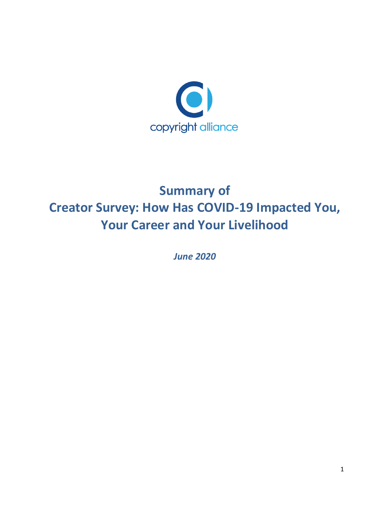

# **Summary of Creator Survey: How Has COVID-19 Impacted You, Your Career and Your Livelihood**

*June 2020*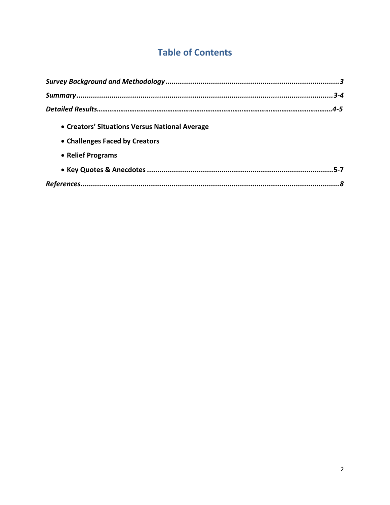## **Table of Contents**

| • Creators' Situations Versus National Average |  |
|------------------------------------------------|--|
| • Challenges Faced by Creators                 |  |
| • Relief Programs                              |  |
|                                                |  |
|                                                |  |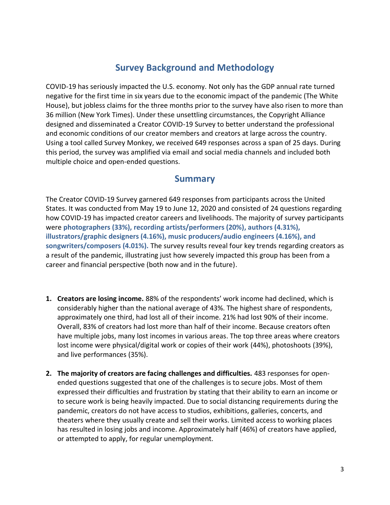## **Survey Background and Methodology**

<span id="page-2-0"></span>COVID-19 has seriously impacted the U.S. economy. Not only has the GDP annual rate turned negative for the first time in six years due to the economic impact of the pandemic (The White House), but jobless claims for the three months prior to the survey have also risen to more than 36 million (New York Times). Under these unsettling circumstances, the Copyright Alliance designed and disseminated a Creator COVID-19 Survey to better understand the professional and economic conditions of our creator members and creators at large across the country. Using a tool called Survey Monkey, we received 649 responses across a span of 25 days. During this period, the survey was amplified via email and social media channels and included both multiple choice and open-ended questions.

#### **Summary**

The Creator COVID-19 Survey garnered 649 responses from participants across the United States. It was conducted from May 19 to June 12, 2020 and consisted of 24 questions regarding how COVID-19 has impacted creator careers and livelihoods. The majority of survey participants were **photographers (33%), recording artists/performers (20%), authors (4.31%), illustrators/graphic designers (4.16%), music producers/audio engineers (4.16%), and songwriters/composers (4.01%).** The survey results reveal four key trends regarding creators as a result of the pandemic, illustrating just how severely impacted this group has been from a career and financial perspective (both now and in the future).

- **1. Creators are losing income.** 88% of the respondents' work income had declined, which is considerably higher than the national average of 43%. The highest share of respondents, approximately one third, had lost all of their income. 21% had lost 90% of their income. Overall, 83% of creators had lost more than half of their income. Because creators often have multiple jobs, many lost incomes in various areas. The top three areas where creators lost income were physical/digital work or copies of their work (44%), photoshoots (39%), and live performances (35%).
- **2. The majority of creators are facing challenges and difficulties.** 483 responses for openended questions suggested that one of the challenges is to secure jobs. Most of them expressed their difficulties and frustration by stating that their ability to earn an income or to secure work is being heavily impacted. Due to social distancing requirements during the pandemic, creators do not have access to studios, exhibitions, galleries, concerts, and theaters where they usually create and sell their works. Limited access to working places has resulted in losing jobs and income. Approximately half (46%) of creators have applied, or attempted to apply, for regular unemployment.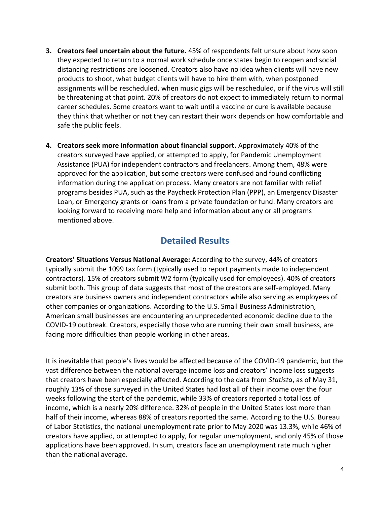- **3. Creators feel uncertain about the future.** 45% of respondents felt unsure about how soon they expected to return to a normal work schedule once states begin to reopen and social distancing restrictions are loosened. Creators also have no idea when clients will have new products to shoot, what budget clients will have to hire them with, when postponed assignments will be rescheduled, when music gigs will be rescheduled, or if the virus will still be threatening at that point. 20% of creators do not expect to immediately return to normal career schedules. Some creators want to wait until a vaccine or cure is available because they think that whether or not they can restart their work depends on how comfortable and safe the public feels.
- **4. Creators seek more information about financial support.** Approximately 40% of the creators surveyed have applied, or attempted to apply, for Pandemic Unemployment Assistance (PUA) for independent contractors and freelancers. Among them, 48% were approved for the application, but some creators were confused and found conflicting information during the application process. Many creators are not familiar with relief programs besides PUA, such as the Paycheck Protection Plan (PPP), an Emergency Disaster Loan, or Emergency grants or loans from a private foundation or fund. Many creators are looking forward to receiving more help and information about any or all programs mentioned above.

## **Detailed Results**

<span id="page-3-0"></span>**Creators' Situations Versus National Average:** According to the survey, 44% of creators typically submit the 1099 tax form (typically used to report payments made to independent contractors). 15% of creators submit W2 form (typically used for employees). 40% of creators submit both. This group of data suggests that most of the creators are self-employed. Many creators are business owners and independent contractors while also serving as employees of other companies or organizations. According to the U.S. Small Business Administration, American small businesses are encountering an unprecedented economic decline due to the COVID-19 outbreak. Creators, especially those who are running their own small business, are facing more difficulties than people working in other areas.

It is inevitable that people's lives would be affected because of the COVID-19 pandemic, but the vast difference between the national average income loss and creators' income loss suggests that creators have been especially affected. According to the data from *Statista*, as of May 31, roughly 13% of those surveyed in the United States had lost all of their income over the four weeks following the start of the pandemic, while 33% of creators reported a total loss of income, which is a nearly 20% difference. 32% of people in the United States lost more than half of their income, whereas 88% of creators reported the same. According to the U.S. Bureau of Labor Statistics, the national unemployment rate prior to May 2020 was 13.3%, while 46% of creators have applied, or attempted to apply, for regular unemployment, and only 45% of those applications have been approved. In sum, creators face an unemployment rate much higher than the national average.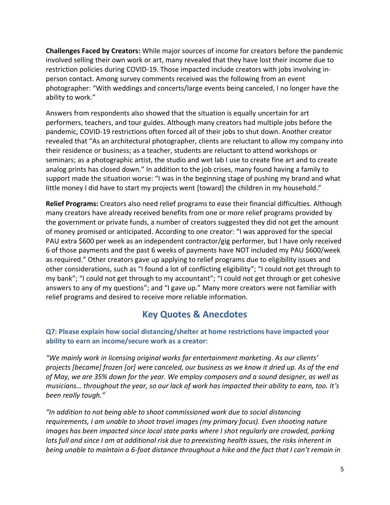<span id="page-4-0"></span>**Challenges Faced by Creators:** While major sources of income for creators before the pandemic involved selling their own work or art, many revealed that they have lost their income due to restriction policies during COVID-19. Those impacted include creators with jobs involving inperson contact. Among survey comments received was the following from an event photographer: "With weddings and concerts/large events being canceled, I no longer have the ability to work."

Answers from respondents also showed that the situation is equally uncertain for art performers, teachers, and tour guides. Although many creators had multiple jobs before the pandemic, COVID-19 restrictions often forced all of their jobs to shut down. Another creator revealed that "As an architectural photographer, clients are reluctant to allow my company into their residence or business; as a teacher, students are reluctant to attend workshops or seminars; as a photographic artist, the studio and wet lab I use to create fine art and to create analog prints has closed down." In addition to the job crises, many found having a family to support made the situation worse: "I was in the beginning stage of pushing my brand and what little money I did have to start my projects went [toward] the children in my household."

<span id="page-4-1"></span>**Relief Programs:** Creators also need relief programs to ease their financial difficulties. Although many creators have already received benefits from one or more relief programs provided by the government or private funds, a number of creators suggested they did not get the amount of money promised or anticipated. According to one creator: "I was approved for the special PAU extra \$600 per week as an independent contractor/gig performer, but I have only received 6 of those payments and the past 6 weeks of payments have NOT included my PAU \$600/week as required." Other creators gave up applying to relief programs due to eligibility issues and other considerations, such as "I found a lot of conflicting eligibility"; "I could not get through to my bank"; "I could not get through to my accountant"; "I could not get through or get cohesive answers to any of my questions"; and "I gave up." Many more creators were not familiar with relief programs and desired to receive more reliable information.

#### **Key Quotes & Anecdotes**

#### **Q7: Please explain how social distancing/shelter at home restrictions have impacted your ability to earn an income/secure work as a creator:**

*"We mainly work in licensing original works for entertainment marketing. As our clients' projects [became] frozen [or] were canceled, our business as we know it dried up. As of the end of May, we are 35% down for the year. We employ composers and a sound designer, as well as musicians… throughout the year, so our lack of work has impacted their ability to earn, too. It's been really tough."*

*"In addition to not being able to shoot commissioned work due to social distancing requirements, I am unable to shoot travel images (my primary focus). Even shooting nature images has been impacted since local state parks where I shot regularly are crowded, parking lots full and since I am at additional risk due to preexisting health issues, the risks inherent in being unable to maintain a 6-foot distance throughout a hike and the fact that I can't remain in*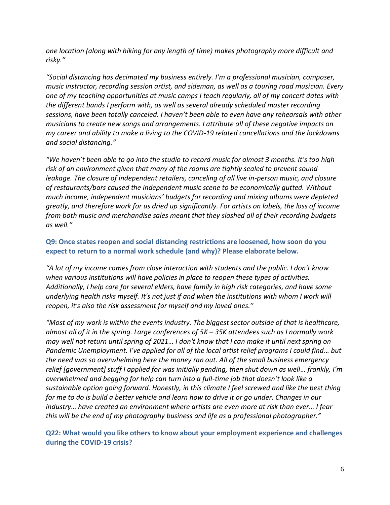*one location (along with hiking for any length of time) makes photography more difficult and risky."*

*"Social distancing has decimated my business entirely. I'm a professional musician, composer, music instructor, recording session artist, and sideman, as well as a touring road musician. Every one of my teaching opportunities at music camps I teach regularly, all of my concert dates with the different bands I perform with, as well as several already scheduled master recording sessions, have been totally canceled. I haven't been able to even have any rehearsals with other musicians to create new songs and arrangements. I attribute all of these negative impacts on my career and ability to make a living to the COVID-19 related cancellations and the lockdowns and social distancing."*

*"We haven't been able to go into the studio to record music for almost 3 months. It's too high risk of an environment given that many of the rooms are tightly sealed to prevent sound leakage. The closure of independent retailers, canceling of all live in-person music, and closure of restaurants/bars caused the independent music scene to be economically gutted. Without much income, independent musicians' budgets for recording and mixing albums were depleted greatly, and therefore work for us dried up significantly. For artists on labels, the loss of income from both music and merchandise sales meant that they slashed all of their recording budgets as well."*

#### **Q9: Once states reopen and social distancing restrictions are loosened, how soon do you expect to return to a normal work schedule (and why)? Please elaborate below.**

*"A lot of my income comes from close interaction with students and the public. I don't know when various institutions will have policies in place to reopen these types of activities. Additionally, I help care for several elders, have family in high risk categories, and have some underlying health risks myself. It's not just if and when the institutions with whom I work will reopen, it's also the risk assessment for myself and my loved ones."*

*"Most of my work is within the events industry. The biggest sector outside of that is healthcare, almost all of it in the spring. Large conferences of 5K – 35K attendees such as I normally work may well not return until spring of 2021… I don't know that I can make it until next spring on Pandemic Unemployment. I've applied for all of the local artist relief programs I could find… but the need was so overwhelming here the money ran out. All of the small business emergency relief [government] stuff I applied for was initially pending, then shut down as well… frankly, I'm overwhelmed and begging for help can turn into a full-time job that doesn't look like a sustainable option going forward. Honestly, in this climate I feel screwed and like the best thing for me to do is build a better vehicle and learn how to drive it or go under. Changes in our industry… have created an environment where artists are even more at risk than ever… I fear this will be the end of my photography business and life as a professional photographer."*

**Q22: What would you like others to know about your employment experience and challenges during the COVID-19 crisis?**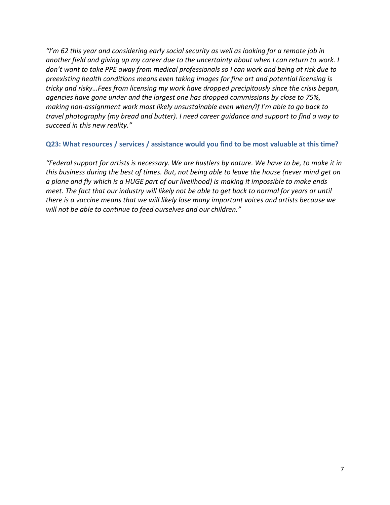*"I'm 62 this year and considering early social security as well as looking for a remote job in another field and giving up my career due to the uncertainty about when I can return to work. I don't want to take PPE away from medical professionals so I can work and being at risk due to preexisting health conditions means even taking images for fine art and potential licensing is tricky and risky…Fees from licensing my work have dropped precipitously since the crisis began, agencies have gone under and the largest one has dropped commissions by close to 75%, making non-assignment work most likely unsustainable even when/if I'm able to go back to travel photography (my bread and butter). I need career guidance and support to find a way to succeed in this new reality."*

#### **Q23: What resources / services / assistance would you find to be most valuable at this time?**

*"Federal support for artists is necessary. We are hustlers by nature. We have to be, to make it in this business during the best of times. But, not being able to leave the house (never mind get on a plane and fly which is a HUGE part of our livelihood) is making it impossible to make ends meet. The fact that our industry will likely not be able to get back to normal for years or until there is a vaccine means that we will likely lose many important voices and artists because we will not be able to continue to feed ourselves and our children."*